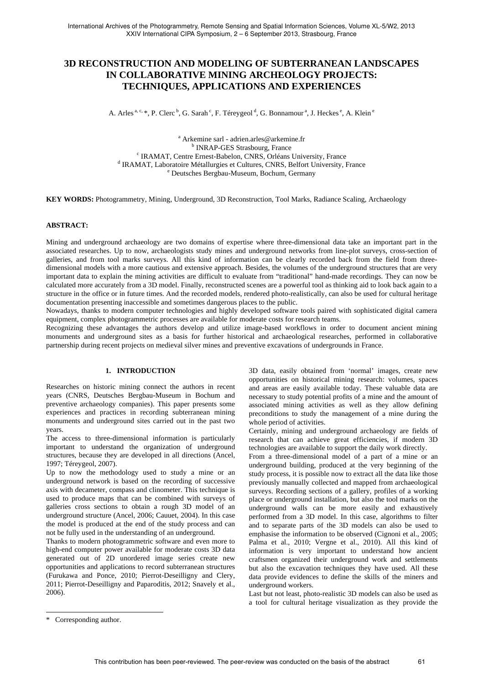# **3D RECONSTRUCTION AND MODELING OF SUBTERRANEAN LANDSCAPES IN COLLABORATIVE MINING ARCHEOLOGY PROJECTS: TECHNIQUES, APPLICATIONS AND EXPERIENCES**

A. Arles <sup>a, c, \*</sup>, P. Clerc <sup>b</sup>, G. Sarah <sup>c</sup>, F. Téreygeol <sup>d</sup>, G. Bonnamour <sup>a</sup>, J. Heckes <sup>e</sup>, A. Klein <sup>e</sup>

<sup>a</sup> Arkemine sarl - adrien.arles@arkemine.fr<br><sup>b</sup> IND AD GES Streebourg, France <sup>b</sup> INRAP-GES Strasbourg, France<br><sup>c</sup> IBAMAT, Centre Ernest Bebelon, CNBS, Orléans <sup>c</sup> IRAMAT, Centre Ernest-Babelon, CNRS, Orléans University, France<br><sup>d</sup> IPAMAT, Lebersteine Métallurgies et Cultures, CNRS, Pelfort University, L <sup>d</sup> IRAMAT, Laboratoire Métallurgies et Cultures, CNRS, Belfort University, France Deutsches Bergbau-Museum, Bochum, Germany

**KEY WORDS:** Photogrammetry, Mining, Underground, 3D Reconstruction, Tool Marks, Radiance Scaling, Archaeology

# **ABSTRACT:**

Mining and underground archaeology are two domains of expertise where three-dimensional data take an important part in the associated researches. Up to now, archaeologists study mines and underground networks from line-plot surveys, cross-section of galleries, and from tool marks surveys. All this kind of information can be clearly recorded back from the field from threedimensional models with a more cautious and extensive approach. Besides, the volumes of the underground structures that are very important data to explain the mining activities are difficult to evaluate from "traditional" hand-made recordings. They can now be calculated more accurately from a 3D model. Finally, reconstructed scenes are a powerful tool as thinking aid to look back again to a structure in the office or in future times. And the recorded models, rendered photo-realistically, can also be used for cultural heritage documentation presenting inaccessible and sometimes dangerous places to the public.

Nowadays, thanks to modern computer technologies and highly developed software tools paired with sophisticated digital camera equipment, complex photogrammetric processes are available for moderate costs for research teams.

Recognizing these advantages the authors develop and utilize image-based workflows in order to document ancient mining monuments and underground sites as a basis for further historical and archaeological researches, performed in collaborative partnership during recent projects on medieval silver mines and preventive excavations of undergrounds in France.

# **1. INTRODUCTION**

Researches on historic mining connect the authors in recent years (CNRS, Deutsches Bergbau-Museum in Bochum and preventive archaeology companies). This paper presents some experiences and practices in recording subterranean mining monuments and underground sites carried out in the past two years.

The access to three-dimensional information is particularly important to understand the organization of underground structures, because they are developed in all directions (Ancel, 1997; Téreygeol, 2007).

Up to now the methodology used to study a mine or an underground network is based on the recording of successive axis with decameter, compass and clinometer. This technique is used to produce maps that can be combined with surveys of galleries cross sections to obtain a rough 3D model of an underground structure (Ancel, 2006; Cauuet, 2004). In this case the model is produced at the end of the study process and can not be fully used in the understanding of an underground.

Thanks to modern photogrammetric software and even more to high-end computer power available for moderate costs 3D data generated out of 2D unordered image series create new opportunities and applications to record subterranean structures (Furukawa and Ponce, 2010; Pierrot-Deseilligny and Clery, 2011; Pierrot-Deseilligny and Paparoditis, 2012; Snavely et al., 2006).

3D data, easily obtained from 'normal' images, create new opportunities on historical mining research: volumes, spaces and areas are easily available today. These valuable data are necessary to study potential profits of a mine and the amount of associated mining activities as well as they allow defining preconditions to study the management of a mine during the whole period of activities.

Certainly, mining and underground archaeology are fields of research that can achieve great efficiencies, if modern 3D technologies are available to support the daily work directly.

From a three-dimensional model of a part of a mine or an underground building, produced at the very beginning of the study process, it is possible now to extract all the data like those previously manually collected and mapped from archaeological surveys. Recording sections of a gallery, profiles of a working place or underground installation, but also the tool marks on the underground walls can be more easily and exhaustively performed from a 3D model. In this case, algorithms to filter and to separate parts of the 3D models can also be used to emphasise the information to be observed (Cignoni et al., 2005; Palma et al., 2010; Vergne et al., 2010). All this kind of information is very important to understand how ancient craftsmen organized their underground work and settlements but also the excavation techniques they have used. All these data provide evidences to define the skills of the miners and underground workers.

Last but not least, photo-realistic 3D models can also be used as a tool for cultural heritage visualization as they provide the

 $\overline{a}$ 

<sup>\*</sup> Corresponding author.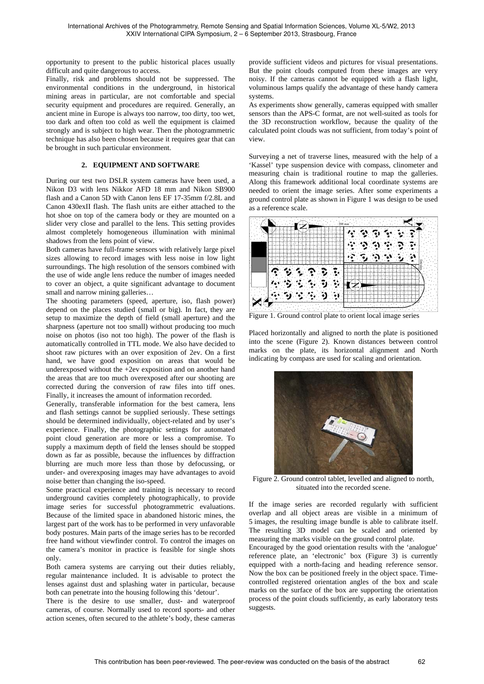opportunity to present to the public historical places usually difficult and quite dangerous to access.

Finally, risk and problems should not be suppressed. The environmental conditions in the underground, in historical mining areas in particular, are not comfortable and special security equipment and procedures are required. Generally, an ancient mine in Europe is always too narrow, too dirty, too wet, too dark and often too cold as well the equipment is claimed strongly and is subject to high wear. Then the photogrammetric technique has also been chosen because it requires gear that can be brought in such particular environment.

#### **2. EQUIPMENT AND SOFTWARE**

During our test two DSLR system cameras have been used, a Nikon D3 with lens Nikkor AFD 18 mm and Nikon SB900 flash and a Canon 5D with Canon lens EF 17-35mm f/2.8L and Canon 430exII flash. The flash units are either attached to the hot shoe on top of the camera body or they are mounted on a slider very close and parallel to the lens. This setting provides almost completely homogeneous illumination with minimal shadows from the lens point of view.

Both cameras have full-frame sensors with relatively large pixel sizes allowing to record images with less noise in low light surroundings. The high resolution of the sensors combined with the use of wide angle lens reduce the number of images needed to cover an object, a quite significant advantage to document small and narrow mining galleries…

The shooting parameters (speed, aperture, iso, flash power) depend on the places studied (small or big). In fact, they are setup to maximize the depth of field (small aperture) and the sharpness (aperture not too small) without producing too much noise on photos (iso not too high). The power of the flash is automatically controlled in TTL mode. We also have decided to shoot raw pictures with an over exposition of 2ev. On a first hand, we have good exposition on areas that would be underexposed without the +2ev exposition and on another hand the areas that are too much overexposed after our shooting are corrected during the conversion of raw files into tiff ones. Finally, it increases the amount of information recorded.

Generally, transferable information for the best camera, lens and flash settings cannot be supplied seriously. These settings should be determined individually, object-related and by user's experience. Finally, the photographic settings for automated point cloud generation are more or less a compromise. To supply a maximum depth of field the lenses should be stopped down as far as possible, because the influences by diffraction blurring are much more less than those by defocussing, or under- and overexposing images may have advantages to avoid noise better than changing the iso-speed.

Some practical experience and training is necessary to record underground cavities completely photographically, to provide image series for successful photogrammetric evaluations. Because of the limited space in abandoned historic mines, the largest part of the work has to be performed in very unfavorable body postures. Main parts of the image series has to be recorded free hand without viewfinder control. To control the images on the camera's monitor in practice is feasible for single shots only.

Both camera systems are carrying out their duties reliably, regular maintenance included. It is advisable to protect the lenses against dust and splashing water in particular, because both can penetrate into the housing following this 'detour'.

There is the desire to use smaller, dust- and waterproof cameras, of course. Normally used to record sports- and other action scenes, often secured to the athlete's body, these cameras

provide sufficient videos and pictures for visual presentations. But the point clouds computed from these images are very noisy. If the cameras cannot be equipped with a flash light, voluminous lamps qualify the advantage of these handy camera systems.

As experiments show generally, cameras equipped with smaller sensors than the APS-C format, are not well-suited as tools for the 3D reconstruction workflow, because the quality of the calculated point clouds was not sufficient, from today's point of view.

Surveying a net of traverse lines, measured with the help of a 'Kassel' type suspension device with compass, clinometer and measuring chain is traditional routine to map the galleries. Along this framework additional local coordinate systems are needed to orient the image series. After some experiments a ground control plate as shown in Figure 1 was design to be used as a reference scale.



Figure 1. Ground control plate to orient local image series

Placed horizontally and aligned to north the plate is positioned into the scene (Figure 2). Known distances between control marks on the plate, its horizontal alignment and North indicating by compass are used for scaling and orientation.



Figure 2. Ground control tablet, levelled and aligned to north, situated into the recorded scene.

If the image series are recorded regularly with sufficient overlap and all object areas are visible in a minimum of 5 images, the resulting image bundle is able to calibrate itself. The resulting 3D model can be scaled and oriented by measuring the marks visible on the ground control plate.

Encouraged by the good orientation results with the 'analogue' reference plate, an 'electronic' box (Figure 3) is currently equipped with a north-facing and heading reference sensor. Now the box can be positioned freely in the object space. Timecontrolled registered orientation angles of the box and scale marks on the surface of the box are supporting the orientation process of the point clouds sufficiently, as early laboratory tests suggests.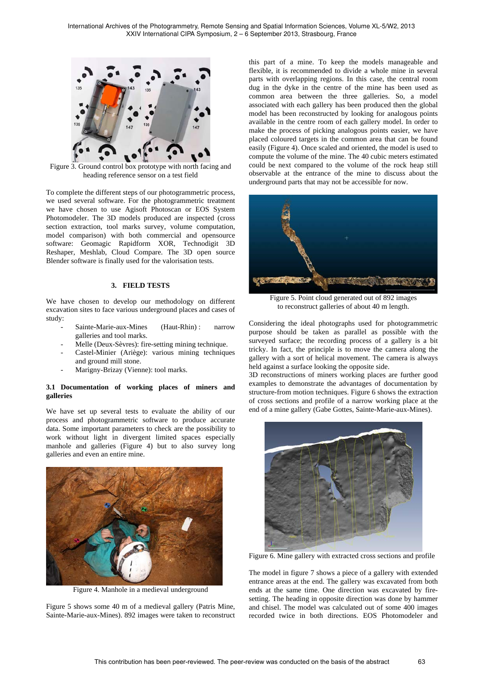

Figure 3. Ground control box prototype with north facing and heading reference sensor on a test field

To complete the different steps of our photogrammetric process, we used several software. For the photogrammetric treatment we have chosen to use Agisoft Photoscan or EOS System Photomodeler. The 3D models produced are inspected (cross section extraction, tool marks survey, volume computation, model comparison) with both commercial and opensource software: Geomagic Rapidform XOR, Technodigit 3D Reshaper, Meshlab, Cloud Compare. The 3D open source Blender software is finally used for the valorisation tests.

#### **3. FIELD TESTS**

We have chosen to develop our methodology on different excavation sites to face various underground places and cases of study:

- Sainte-Marie-aux-Mines (Haut-Rhin) : narrow galleries and tool marks.
- Melle (Deux-Sèvres): fire-setting mining technique.
- Castel-Minier (Ariège): various mining techniques and ground mill stone.
- Marigny-Brizay (Vienne): tool marks.

### **3.1 Documentation of working places of miners and galleries**

We have set up several tests to evaluate the ability of our process and photogrammetric software to produce accurate data. Some important parameters to check are the possibility to work without light in divergent limited spaces especially manhole and galleries (Figure 4) but to also survey long galleries and even an entire mine.



Figure 4. Manhole in a medieval underground

Figure 5 shows some 40 m of a medieval gallery (Patris Mine, Sainte-Marie-aux-Mines). 892 images were taken to reconstruct this part of a mine. To keep the models manageable and flexible, it is recommended to divide a whole mine in several parts with overlapping regions. In this case, the central room dug in the dyke in the centre of the mine has been used as common area between the three galleries. So, a model associated with each gallery has been produced then the global model has been reconstructed by looking for analogous points available in the centre room of each gallery model. In order to make the process of picking analogous points easier, we have placed coloured targets in the common area that can be found easily (Figure 4). Once scaled and oriented, the model is used to compute the volume of the mine. The 40 cubic meters estimated could be next compared to the volume of the rock heap still observable at the entrance of the mine to discuss about the underground parts that may not be accessible for now.



Figure 5. Point cloud generated out of 892 images to reconstruct galleries of about 40 m length.

Considering the ideal photographs used for photogrammetric purpose should be taken as parallel as possible with the surveyed surface; the recording process of a gallery is a bit tricky. In fact, the principle is to move the camera along the gallery with a sort of helical movement. The camera is always held against a surface looking the opposite side.

3D reconstructions of miners working places are further good examples to demonstrate the advantages of documentation by structure-from motion techniques. Figure 6 shows the extraction of cross sections and profile of a narrow working place at the end of a mine gallery (Gabe Gottes, Sainte-Marie-aux-Mines).



Figure 6. Mine gallery with extracted cross sections and profile

The model in figure 7 shows a piece of a gallery with extended entrance areas at the end. The gallery was excavated from both ends at the same time. One direction was excavated by firesetting. The heading in opposite direction was done by hammer and chisel. The model was calculated out of some 400 images recorded twice in both directions. EOS Photomodeler and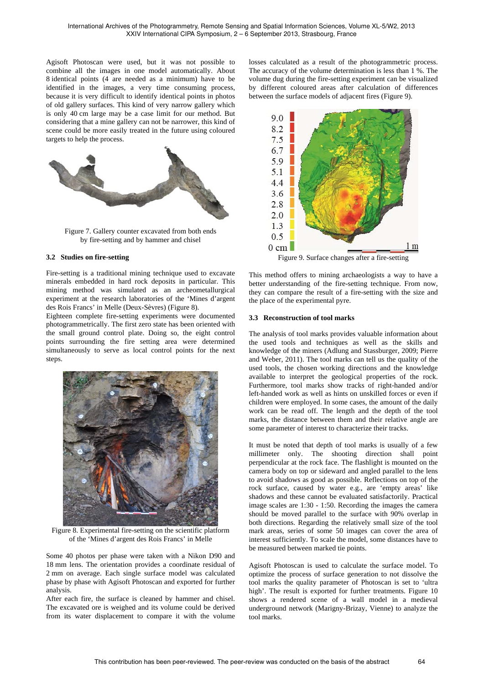Agisoft Photoscan were used, but it was not possible to combine all the images in one model automatically. About 8 identical points (4 are needed as a minimum) have to be identified in the images, a very time consuming process, because it is very difficult to identify identical points in photos of old gallery surfaces. This kind of very narrow gallery which is only 40 cm large may be a case limit for our method. But considering that a mine gallery can not be narrower, this kind of scene could be more easily treated in the future using coloured targets to help the process.



Figure 7. Gallery counter excavated from both ends by fire-setting and by hammer and chisel

#### **3.2 Studies on fire-setting**

Fire-setting is a traditional mining technique used to excavate minerals embedded in hard rock deposits in particular. This mining method was simulated as an archeometallurgical experiment at the research laboratories of the 'Mines d'argent des Rois Francs' in Melle (Deux-Sèvres) (Figure 8).

Eighteen complete fire-setting experiments were documented photogrammetrically. The first zero state has been oriented with the small ground control plate. Doing so, the eight control points surrounding the fire setting area were determined simultaneously to serve as local control points for the next steps.



Figure 8. Experimental fire-setting on the scientific platform of the 'Mines d'argent des Rois Francs' in Melle

Some 40 photos per phase were taken with a Nikon D90 and 18 mm lens. The orientation provides a coordinate residual of 2 mm on average. Each single surface model was calculated phase by phase with Agisoft Photoscan and exported for further analysis.

After each fire, the surface is cleaned by hammer and chisel. The excavated ore is weighed and its volume could be derived from its water displacement to compare it with the volume

losses calculated as a result of the photogrammetric process. The accuracy of the volume determination is less than 1 %. The volume dug during the fire-setting experiment can be visualized by different coloured areas after calculation of differences between the surface models of adjacent fires (Figure 9).



This method offers to mining archaeologists a way to have a better understanding of the fire-setting technique. From now, they can compare the result of a fire-setting with the size and the place of the experimental pyre.

#### **3.3 Reconstruction of tool marks**

The analysis of tool marks provides valuable information about the used tools and techniques as well as the skills and knowledge of the miners (Adlung and Stassburger, 2009; Pierre and Weber, 2011). The tool marks can tell us the quality of the used tools, the chosen working directions and the knowledge available to interpret the geological properties of the rock. Furthermore, tool marks show tracks of right-handed and/or left-handed work as well as hints on unskilled forces or even if children were employed. In some cases, the amount of the daily work can be read off. The length and the depth of the tool marks, the distance between them and their relative angle are some parameter of interest to characterize their tracks.

It must be noted that depth of tool marks is usually of a few millimeter only. The shooting direction shall point perpendicular at the rock face. The flashlight is mounted on the camera body on top or sideward and angled parallel to the lens to avoid shadows as good as possible. Reflections on top of the rock surface, caused by water e.g., are 'empty areas' like shadows and these cannot be evaluated satisfactorily. Practical image scales are 1:30 - 1:50. Recording the images the camera should be moved parallel to the surface with 90% overlap in both directions. Regarding the relatively small size of the tool mark areas, series of some 50 images can cover the area of interest sufficiently. To scale the model, some distances have to be measured between marked tie points.

Agisoft Photoscan is used to calculate the surface model. To optimize the process of surface generation to not dissolve the tool marks the quality parameter of Photoscan is set to 'ultra high'. The result is exported for further treatments. Figure 10 shows a rendered scene of a wall model in a medieval underground network (Marigny-Brizay, Vienne) to analyze the tool marks.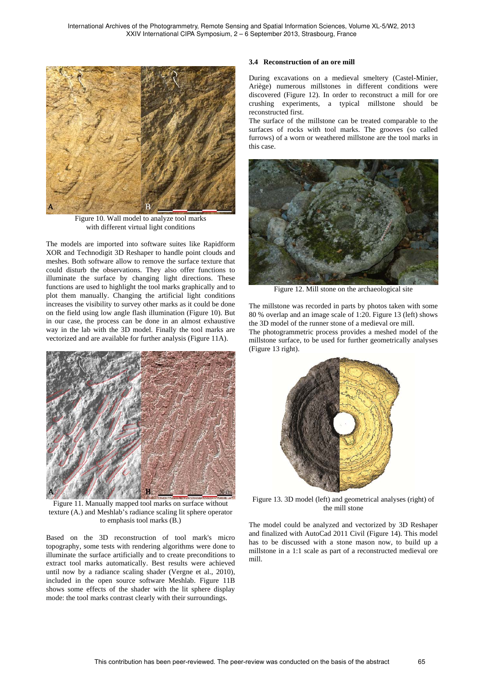

Figure 10. Wall model to analyze tool marks with different virtual light conditions

The models are imported into software suites like Rapidform XOR and Technodigit 3D Reshaper to handle point clouds and meshes. Both software allow to remove the surface texture that could disturb the observations. They also offer functions to illuminate the surface by changing light directions. These functions are used to highlight the tool marks graphically and to plot them manually. Changing the artificial light conditions increases the visibility to survey other marks as it could be done on the field using low angle flash illumination (Figure 10). But in our case, the process can be done in an almost exhaustive way in the lab with the 3D model. Finally the tool marks are vectorized and are available for further analysis (Figure 11A).



Figure 11. Manually mapped tool marks on surface without texture (A.) and Meshlab's radiance scaling lit sphere operator to emphasis tool marks (B.)

Based on the 3D reconstruction of tool mark's micro topography, some tests with rendering algorithms were done to illuminate the surface artificially and to create preconditions to extract tool marks automatically. Best results were achieved until now by a radiance scaling shader (Vergne et al., 2010), included in the open source software Meshlab. Figure 11B shows some effects of the shader with the lit sphere display mode: the tool marks contrast clearly with their surroundings.

#### **3.4 Reconstruction of an ore mill**

During excavations on a medieval smeltery (Castel-Minier, Ariège) numerous millstones in different conditions were discovered (Figure 12). In order to reconstruct a mill for ore crushing experiments, a typical millstone should be reconstructed first.

The surface of the millstone can be treated comparable to the surfaces of rocks with tool marks. The grooves (so called furrows) of a worn or weathered millstone are the tool marks in this case.



Figure 12. Mill stone on the archaeological site

The millstone was recorded in parts by photos taken with some 80 % overlap and an image scale of 1:20. Figure 13 (left) shows the 3D model of the runner stone of a medieval ore mill.

The photogrammetric process provides a meshed model of the millstone surface, to be used for further geometrically analyses (Figure 13 right).



Figure 13. 3D model (left) and geometrical analyses (right) of the mill stone

The model could be analyzed and vectorized by 3D Reshaper and finalized with AutoCad 2011 Civil (Figure 14). This model has to be discussed with a stone mason now, to build up a millstone in a 1:1 scale as part of a reconstructed medieval ore mill.